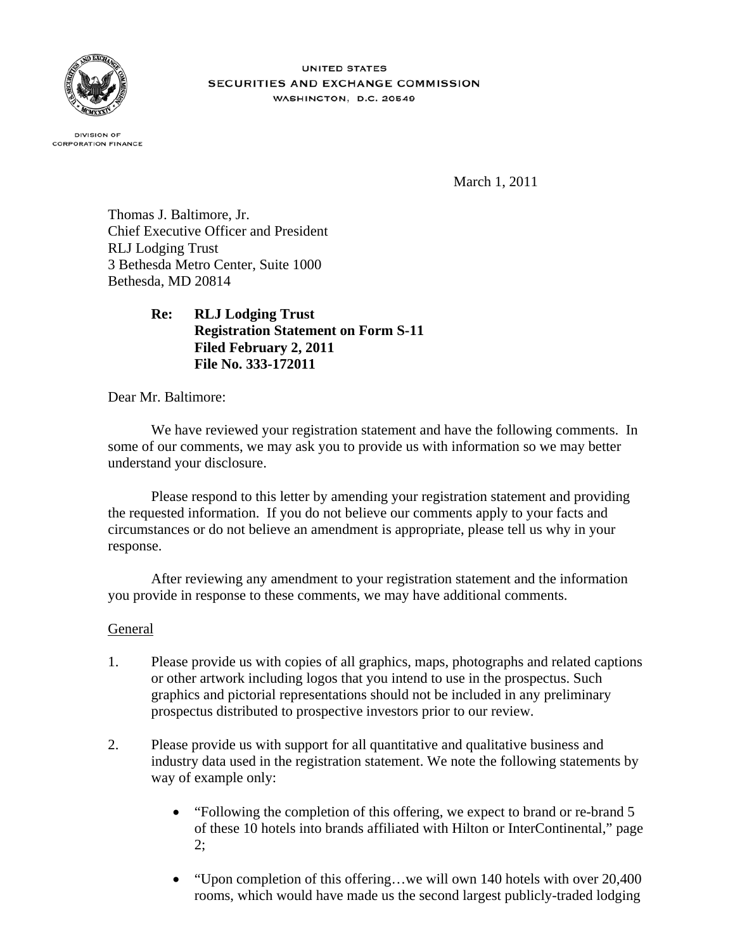

**UNITED STATES** SECURITIES AND EXCHANGE COMMISSION WASHINGTON, D.C. 20549

**DIVISION OF CORPORATION FINANCE** 

March 1, 2011

Thomas J. Baltimore, Jr. Chief Executive Officer and President RLJ Lodging Trust 3 Bethesda Metro Center, Suite 1000 Bethesda, MD 20814

> **Re: RLJ Lodging Trust Registration Statement on Form S-11 Filed February 2, 2011 File No. 333-172011**

Dear Mr. Baltimore:

We have reviewed your registration statement and have the following comments. In some of our comments, we may ask you to provide us with information so we may better understand your disclosure.

Please respond to this letter by amending your registration statement and providing the requested information. If you do not believe our comments apply to your facts and circumstances or do not believe an amendment is appropriate, please tell us why in your response.

After reviewing any amendment to your registration statement and the information you provide in response to these comments, we may have additional comments.

# **General**

- 1. Please provide us with copies of all graphics, maps, photographs and related captions or other artwork including logos that you intend to use in the prospectus. Such graphics and pictorial representations should not be included in any preliminary prospectus distributed to prospective investors prior to our review.
- 2. Please provide us with support for all quantitative and qualitative business and industry data used in the registration statement. We note the following statements by way of example only:
	- "Following the completion of this offering, we expect to brand or re-brand 5 of these 10 hotels into brands affiliated with Hilton or InterContinental," page 2;
	- "Upon completion of this offering...we will own 140 hotels with over 20,400 rooms, which would have made us the second largest publicly-traded lodging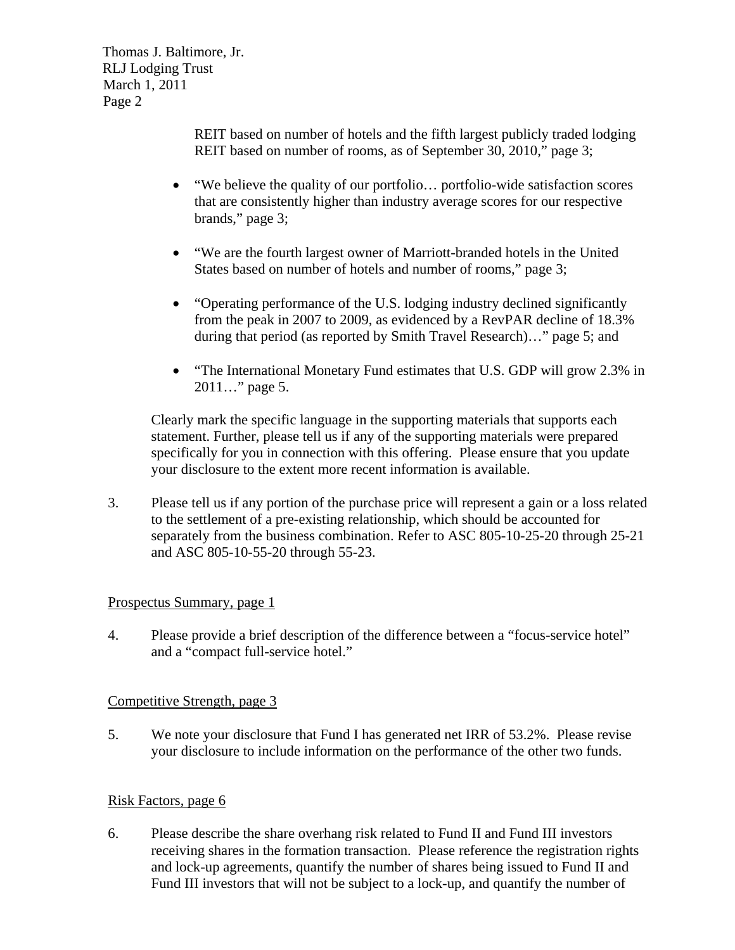> REIT based on number of hotels and the fifth largest publicly traded lodging REIT based on number of rooms, as of September 30, 2010," page 3;

- "We believe the quality of our portfolio… portfolio-wide satisfaction scores that are consistently higher than industry average scores for our respective brands," page 3;
- "We are the fourth largest owner of Marriott-branded hotels in the United States based on number of hotels and number of rooms," page 3;
- "Operating performance of the U.S. lodging industry declined significantly from the peak in 2007 to 2009, as evidenced by a RevPAR decline of 18.3% during that period (as reported by Smith Travel Research)…" page 5; and
- "The International Monetary Fund estimates that U.S. GDP will grow 2.3% in 2011…" page 5.

Clearly mark the specific language in the supporting materials that supports each statement. Further, please tell us if any of the supporting materials were prepared specifically for you in connection with this offering. Please ensure that you update your disclosure to the extent more recent information is available.

3. Please tell us if any portion of the purchase price will represent a gain or a loss related to the settlement of a pre-existing relationship, which should be accounted for separately from the business combination. Refer to ASC 805-10-25-20 through 25-21 and ASC 805-10-55-20 through 55-23.

# Prospectus Summary, page 1

4. Please provide a brief description of the difference between a "focus-service hotel" and a "compact full-service hotel."

# Competitive Strength, page 3

5. We note your disclosure that Fund I has generated net IRR of 53.2%. Please revise your disclosure to include information on the performance of the other two funds.

# Risk Factors, page 6

6. Please describe the share overhang risk related to Fund II and Fund III investors receiving shares in the formation transaction. Please reference the registration rights and lock-up agreements, quantify the number of shares being issued to Fund II and Fund III investors that will not be subject to a lock-up, and quantify the number of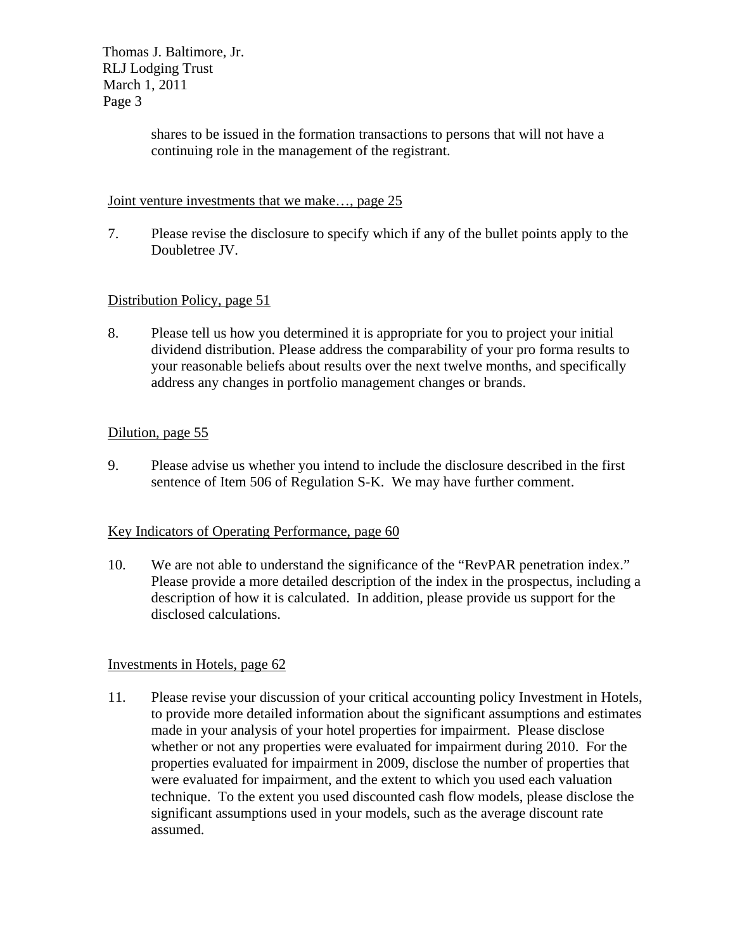> shares to be issued in the formation transactions to persons that will not have a continuing role in the management of the registrant.

# Joint venture investments that we make…, page 25

7. Please revise the disclosure to specify which if any of the bullet points apply to the Doubletree JV.

# Distribution Policy, page 51

8. Please tell us how you determined it is appropriate for you to project your initial dividend distribution. Please address the comparability of your pro forma results to your reasonable beliefs about results over the next twelve months, and specifically address any changes in portfolio management changes or brands.

# Dilution, page 55

9. Please advise us whether you intend to include the disclosure described in the first sentence of Item 506 of Regulation S-K. We may have further comment.

# Key Indicators of Operating Performance, page 60

10. We are not able to understand the significance of the "RevPAR penetration index." Please provide a more detailed description of the index in the prospectus, including a description of how it is calculated. In addition, please provide us support for the disclosed calculations.

# Investments in Hotels, page 62

11. Please revise your discussion of your critical accounting policy Investment in Hotels, to provide more detailed information about the significant assumptions and estimates made in your analysis of your hotel properties for impairment. Please disclose whether or not any properties were evaluated for impairment during 2010. For the properties evaluated for impairment in 2009, disclose the number of properties that were evaluated for impairment, and the extent to which you used each valuation technique. To the extent you used discounted cash flow models, please disclose the significant assumptions used in your models, such as the average discount rate assumed.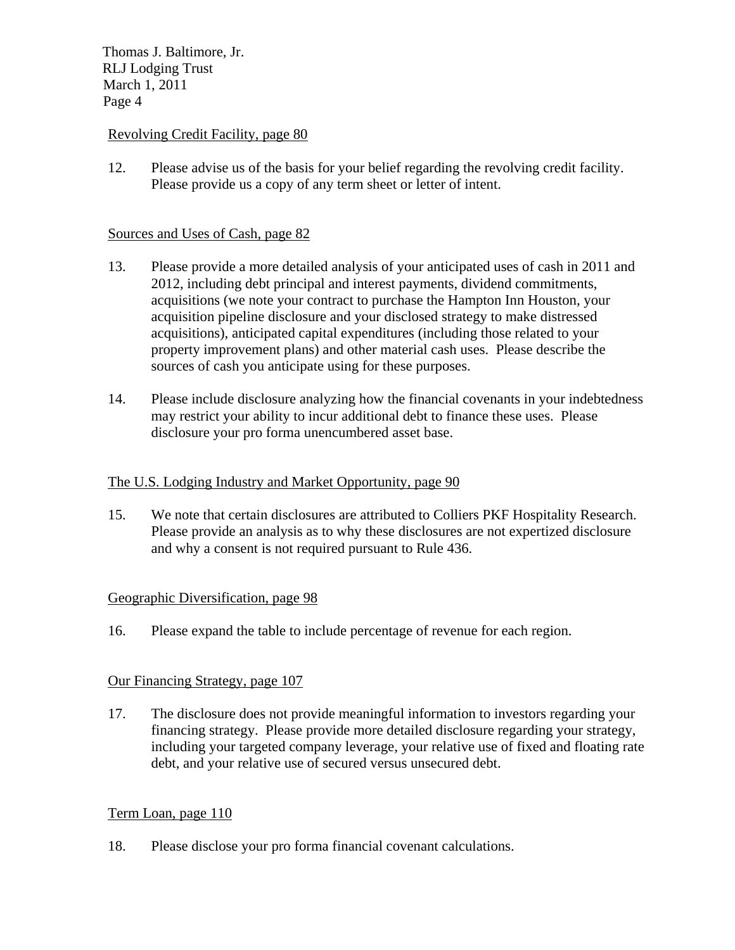# Revolving Credit Facility, page 80

12. Please advise us of the basis for your belief regarding the revolving credit facility. Please provide us a copy of any term sheet or letter of intent.

# Sources and Uses of Cash, page 82

- 13. Please provide a more detailed analysis of your anticipated uses of cash in 2011 and 2012, including debt principal and interest payments, dividend commitments, acquisitions (we note your contract to purchase the Hampton Inn Houston, your acquisition pipeline disclosure and your disclosed strategy to make distressed acquisitions), anticipated capital expenditures (including those related to your property improvement plans) and other material cash uses. Please describe the sources of cash you anticipate using for these purposes.
- 14. Please include disclosure analyzing how the financial covenants in your indebtedness may restrict your ability to incur additional debt to finance these uses. Please disclosure your pro forma unencumbered asset base.

### The U.S. Lodging Industry and Market Opportunity, page 90

15. We note that certain disclosures are attributed to Colliers PKF Hospitality Research. Please provide an analysis as to why these disclosures are not expertized disclosure and why a consent is not required pursuant to Rule 436.

# Geographic Diversification, page 98

16. Please expand the table to include percentage of revenue for each region.

#### Our Financing Strategy, page 107

17. The disclosure does not provide meaningful information to investors regarding your financing strategy. Please provide more detailed disclosure regarding your strategy, including your targeted company leverage, your relative use of fixed and floating rate debt, and your relative use of secured versus unsecured debt.

# Term Loan, page 110

18. Please disclose your pro forma financial covenant calculations.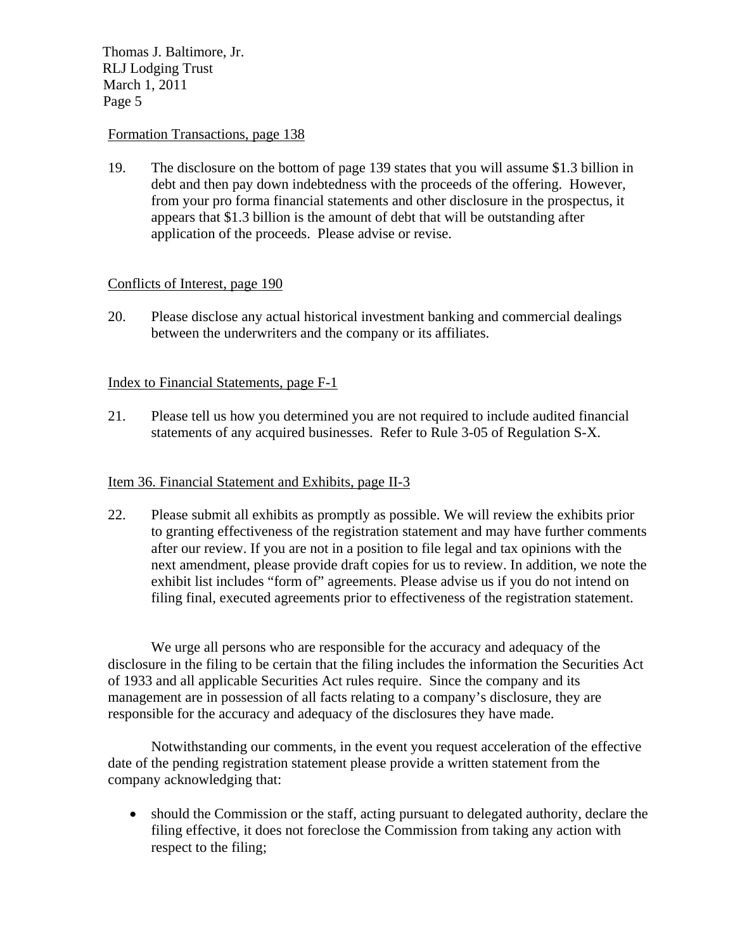# Formation Transactions, page 138

19. The disclosure on the bottom of page 139 states that you will assume \$1.3 billion in debt and then pay down indebtedness with the proceeds of the offering. However, from your pro forma financial statements and other disclosure in the prospectus, it appears that \$1.3 billion is the amount of debt that will be outstanding after application of the proceeds. Please advise or revise.

#### Conflicts of Interest, page 190

20. Please disclose any actual historical investment banking and commercial dealings between the underwriters and the company or its affiliates.

# Index to Financial Statements, page F-1

21. Please tell us how you determined you are not required to include audited financial statements of any acquired businesses. Refer to Rule 3-05 of Regulation S-X.

### Item 36. Financial Statement and Exhibits, page II-3

22. Please submit all exhibits as promptly as possible. We will review the exhibits prior to granting effectiveness of the registration statement and may have further comments after our review. If you are not in a position to file legal and tax opinions with the next amendment, please provide draft copies for us to review. In addition, we note the exhibit list includes "form of" agreements. Please advise us if you do not intend on filing final, executed agreements prior to effectiveness of the registration statement.

We urge all persons who are responsible for the accuracy and adequacy of the disclosure in the filing to be certain that the filing includes the information the Securities Act of 1933 and all applicable Securities Act rules require. Since the company and its management are in possession of all facts relating to a company's disclosure, they are responsible for the accuracy and adequacy of the disclosures they have made.

Notwithstanding our comments, in the event you request acceleration of the effective date of the pending registration statement please provide a written statement from the company acknowledging that:

• should the Commission or the staff, acting pursuant to delegated authority, declare the filing effective, it does not foreclose the Commission from taking any action with respect to the filing;